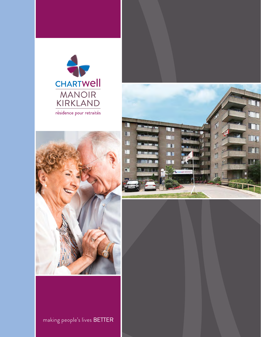





making people's lives BETTER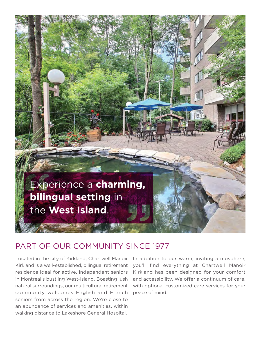

### PART OF OUR COMMUNITY SINCE 1977

 community welcomes English and French Located in the city of Kirkland, Chartwell Manoir Kirkland is a well-established, bilingual retirement residence ideal for active, independent seniors in Montreal's bustling West-Island. Boasting lush natural surroundings, our multicultural retirement seniors from across the region. We're close to an abundance of services and amenities, within walking distance to Lakeshore General Hospital.

In addition to our warm, inviting atmosphere, you'll find everything at Chartwell Manoir Kirkland has been designed for your comfort and accessibility. We offer a continuum of care, with optional customized care services for your peace of mind.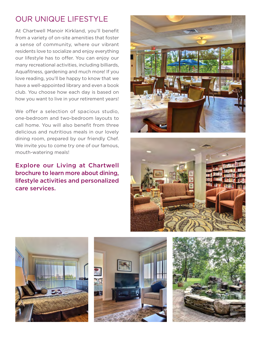# OUR UNIQUE LIFESTYLE

At Chartwell Manoir Kirkland, you'll benefit from a variety of on-site amenities that foster a sense of community, where our vibrant residents love to socialize and enjoy everything our lifestyle has to offer. You can enjoy our many recreational activities, including billiards, Aquafitness, gardening and much more! If you love reading, you'll be happy to know that we have a well-appointed library and even a book club. You choose how each day is based on how you want to live in your retirement years!

 We offer a selection of spacious studio, one-bedroom and two-bedroom layouts to call home. You will also benefit from three delicious and nutritious meals in our lovely dining room, prepared by our friendly Chef. We invite you to come try one of our famous, mouth-watering meals!

Explore our Living at Chartwell brochure to learn more about dining, lifestyle activities and personalized care services.









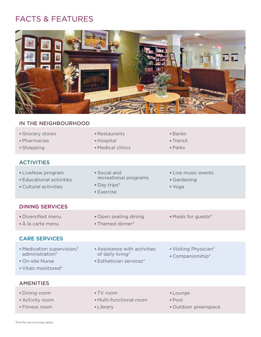## FACTS & FEATURES



#### IN THE NEIGHBOURHOOD

| Grocery stores<br>· Pharmacies<br>• Shopping                                           | • Restaurants<br>• Hospital<br>• Medical clinics                               | <b>Banks</b><br>• Transit<br>$\blacksquare$ Parks       |
|----------------------------------------------------------------------------------------|--------------------------------------------------------------------------------|---------------------------------------------------------|
| <b>ACTIVITIES</b>                                                                      |                                                                                |                                                         |
| • LiveNow program<br><b>Educational activities</b><br>• Cultural activities            | • Social and<br>recreational programs<br>• Day trips*<br><b>Exercise</b>       | • Live music events<br>• Gardening<br>■ Yoga            |
| <b>DINING SERVICES</b>                                                                 |                                                                                |                                                         |
| · Diversified menu<br>• À la carte menu                                                | • Open seating dining<br>• Themed dinner*                                      | • Meals for guests*                                     |
| <b>CARE SERVICES</b>                                                                   |                                                                                |                                                         |
| • Medication supervision/<br>administration*<br>• On-site Nurse<br>• Vitals monitored* | Assistance with activities<br>of daily living*<br><b>Esthetician services*</b> | • Visiting Physician*<br>• Companionship*               |
| <b>AMENITIES</b>                                                                       |                                                                                |                                                         |
| • Dining room<br>• Activity room<br>· Fitness room                                     | - TV room<br>• Multi-functional room<br>• Library                              | - Lounge<br>$\blacksquare$ Pool<br>· Outdoor greenspace |